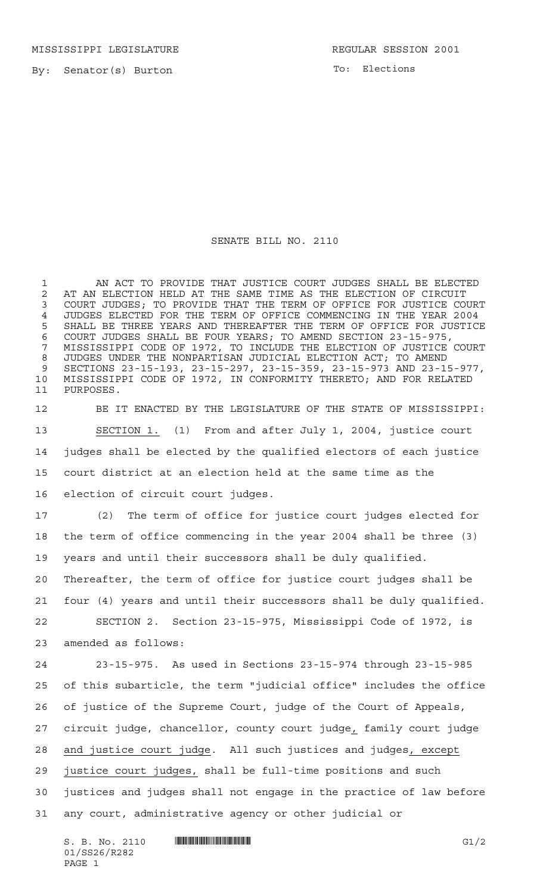MISSISSIPPI LEGISLATURE REGULAR SESSION 2001

By: Senator(s) Burton

To: Elections

## SENATE BILL NO. 2110

 AN ACT TO PROVIDE THAT JUSTICE COURT JUDGES SHALL BE ELECTED 2 AT AN ELECTION HELD AT THE SAME TIME AS THE ELECTION OF CIRCUIT<br>3 COURT JUDGES: TO PROVIDE THAT THE TERM OF OFFICE FOR JUSTICE CO COURT JUDGES; TO PROVIDE THAT THE TERM OF OFFICE FOR JUSTICE COURT JUDGES ELECTED FOR THE TERM OF OFFICE COMMENCING IN THE YEAR 2004 SHALL BE THREE YEARS AND THEREAFTER THE TERM OF OFFICE FOR JUSTICE COURT JUDGES SHALL BE FOUR YEARS; TO AMEND SECTION 23-15-975, MISSISSIPPI CODE OF 1972, TO INCLUDE THE ELECTION OF JUSTICE COURT JUDGES UNDER THE NONPARTISAN JUDICIAL ELECTION ACT; TO AMEND SECTIONS 23-15-193, 23-15-297, 23-15-359, 23-15-973 AND 23-15-977, MISSISSIPPI CODE OF 1972, IN CONFORMITY THERETO; AND FOR RELATED PURPOSES.

 BE IT ENACTED BY THE LEGISLATURE OF THE STATE OF MISSISSIPPI: SECTION 1. (1) From and after July 1, 2004, justice court judges shall be elected by the qualified electors of each justice court district at an election held at the same time as the election of circuit court judges.

 (2) The term of office for justice court judges elected for the term of office commencing in the year 2004 shall be three (3) years and until their successors shall be duly qualified.

 Thereafter, the term of office for justice court judges shall be four (4) years and until their successors shall be duly qualified. SECTION 2. Section 23-15-975, Mississippi Code of 1972, is

amended as follows:

 23-15-975. As used in Sections 23-15-974 through 23-15-985 of this subarticle, the term "judicial office" includes the office of justice of the Supreme Court, judge of the Court of Appeals, circuit judge, chancellor, county court judge, family court judge and justice court judge. All such justices and judges, except justice court judges, shall be full-time positions and such justices and judges shall not engage in the practice of law before any court, administrative agency or other judicial or

 $S. B. No. 2110$   $\blacksquare$   $\blacksquare$   $\blacksquare$   $\blacksquare$   $\blacksquare$   $\blacksquare$   $\blacksquare$   $\blacksquare$   $\blacksquare$   $\blacksquare$   $\blacksquare$   $\blacksquare$   $\blacksquare$   $\blacksquare$   $\blacksquare$   $\blacksquare$   $\blacksquare$   $\blacksquare$   $\blacksquare$   $\blacksquare$   $\blacksquare$   $\blacksquare$   $\blacksquare$   $\blacksquare$   $\blacksquare$   $\blacksquare$   $\blacksquare$   $\blacksquare$   $\blacksquare$   $\blacks$ 01/SS26/R282 PAGE 1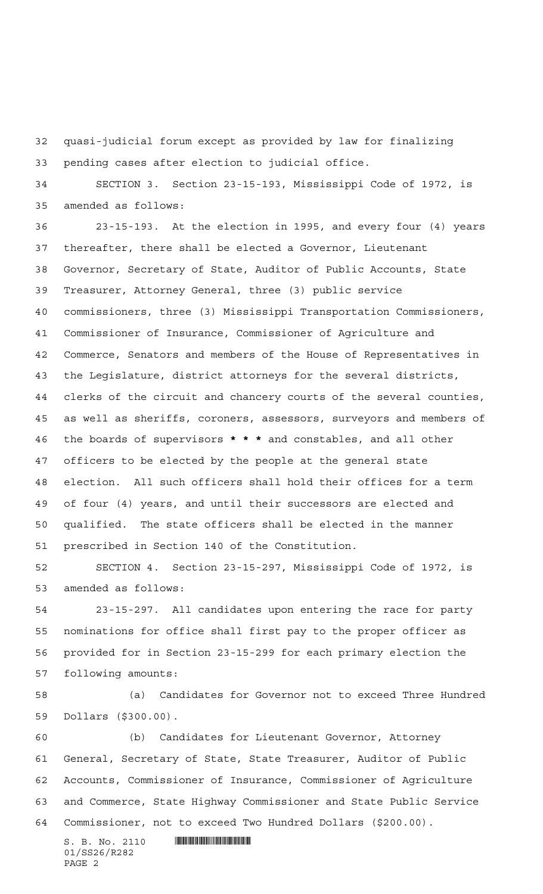quasi-judicial forum except as provided by law for finalizing pending cases after election to judicial office.

 SECTION 3. Section 23-15-193, Mississippi Code of 1972, is amended as follows:

 23-15-193. At the election in 1995, and every four (4) years thereafter, there shall be elected a Governor, Lieutenant Governor, Secretary of State, Auditor of Public Accounts, State Treasurer, Attorney General, three (3) public service commissioners, three (3) Mississippi Transportation Commissioners, Commissioner of Insurance, Commissioner of Agriculture and Commerce, Senators and members of the House of Representatives in the Legislature, district attorneys for the several districts, clerks of the circuit and chancery courts of the several counties, as well as sheriffs, coroners, assessors, surveyors and members of the boards of supervisors **\*\*\*** and constables, and all other officers to be elected by the people at the general state election. All such officers shall hold their offices for a term of four (4) years, and until their successors are elected and qualified. The state officers shall be elected in the manner prescribed in Section 140 of the Constitution.

 SECTION 4. Section 23-15-297, Mississippi Code of 1972, is amended as follows:

 23-15-297. All candidates upon entering the race for party nominations for office shall first pay to the proper officer as provided for in Section 23-15-299 for each primary election the following amounts:

 (a) Candidates for Governor not to exceed Three Hundred Dollars (\$300.00).

 (b) Candidates for Lieutenant Governor, Attorney General, Secretary of State, State Treasurer, Auditor of Public Accounts, Commissioner of Insurance, Commissioner of Agriculture and Commerce, State Highway Commissioner and State Public Service Commissioner, not to exceed Two Hundred Dollars (\$200.00).

 $\texttt{S. B. No. 2110} \begin{tabular}{l} \hline \texttt{M. B.} \end{tabular}$ 01/SS26/R282 PAGE 2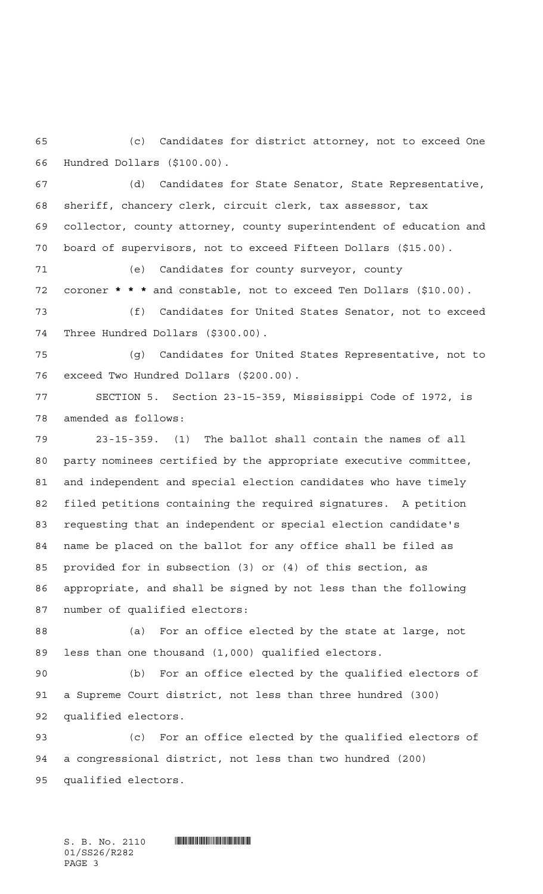(c) Candidates for district attorney, not to exceed One Hundred Dollars (\$100.00).

 (d) Candidates for State Senator, State Representative, sheriff, chancery clerk, circuit clerk, tax assessor, tax collector, county attorney, county superintendent of education and board of supervisors, not to exceed Fifteen Dollars (\$15.00).

 (e) Candidates for county surveyor, county coroner **\*\*\*** and constable, not to exceed Ten Dollars (\$10.00). (f) Candidates for United States Senator, not to exceed Three Hundred Dollars (\$300.00).

 (g) Candidates for United States Representative, not to exceed Two Hundred Dollars (\$200.00).

 SECTION 5. Section 23-15-359, Mississippi Code of 1972, is amended as follows:

 23-15-359. (1) The ballot shall contain the names of all party nominees certified by the appropriate executive committee, and independent and special election candidates who have timely filed petitions containing the required signatures. A petition requesting that an independent or special election candidate's name be placed on the ballot for any office shall be filed as provided for in subsection (3) or (4) of this section, as appropriate, and shall be signed by not less than the following number of qualified electors:

 (a) For an office elected by the state at large, not less than one thousand (1,000) qualified electors.

 (b) For an office elected by the qualified electors of a Supreme Court district, not less than three hundred (300) qualified electors.

 (c) For an office elected by the qualified electors of a congressional district, not less than two hundred (200) qualified electors.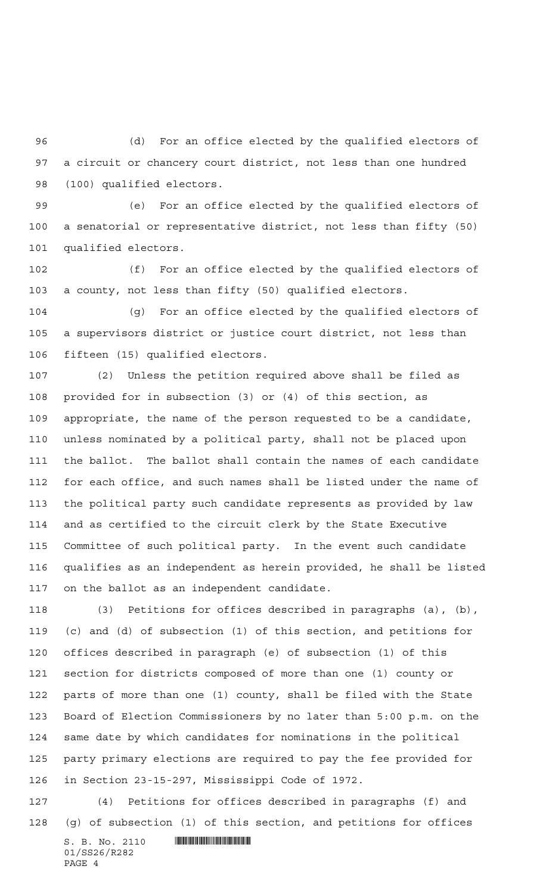(d) For an office elected by the qualified electors of a circuit or chancery court district, not less than one hundred (100) qualified electors.

 (e) For an office elected by the qualified electors of a senatorial or representative district, not less than fifty (50) qualified electors.

 (f) For an office elected by the qualified electors of a county, not less than fifty (50) qualified electors.

 (g) For an office elected by the qualified electors of a supervisors district or justice court district, not less than fifteen (15) qualified electors.

 (2) Unless the petition required above shall be filed as provided for in subsection (3) or (4) of this section, as appropriate, the name of the person requested to be a candidate, unless nominated by a political party, shall not be placed upon the ballot. The ballot shall contain the names of each candidate for each office, and such names shall be listed under the name of the political party such candidate represents as provided by law and as certified to the circuit clerk by the State Executive Committee of such political party. In the event such candidate qualifies as an independent as herein provided, he shall be listed on the ballot as an independent candidate.

 (3) Petitions for offices described in paragraphs (a), (b), (c) and (d) of subsection (1) of this section, and petitions for offices described in paragraph (e) of subsection (1) of this section for districts composed of more than one (1) county or parts of more than one (1) county, shall be filed with the State Board of Election Commissioners by no later than 5:00 p.m. on the same date by which candidates for nominations in the political party primary elections are required to pay the fee provided for in Section 23-15-297, Mississippi Code of 1972.

 (4) Petitions for offices described in paragraphs (f) and (g) of subsection (1) of this section, and petitions for offices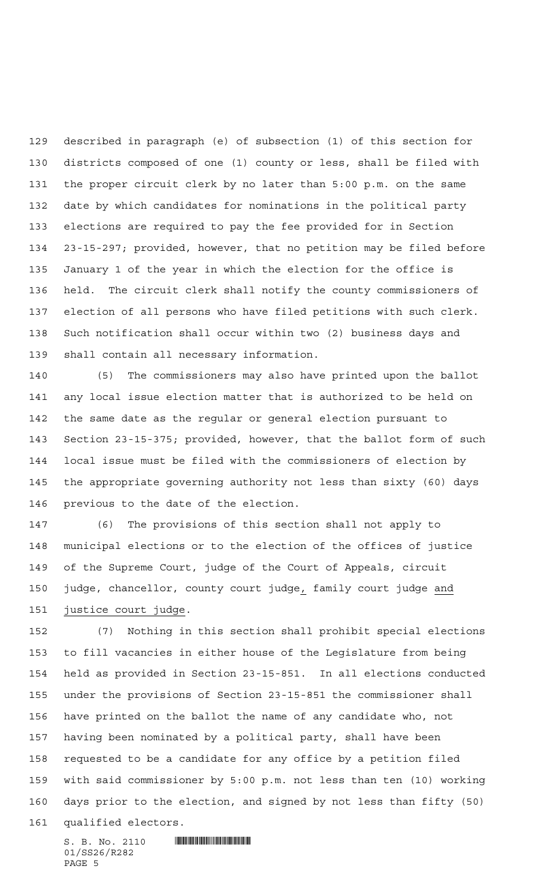described in paragraph (e) of subsection (1) of this section for districts composed of one (1) county or less, shall be filed with the proper circuit clerk by no later than 5:00 p.m. on the same date by which candidates for nominations in the political party elections are required to pay the fee provided for in Section 23-15-297; provided, however, that no petition may be filed before January 1 of the year in which the election for the office is held. The circuit clerk shall notify the county commissioners of election of all persons who have filed petitions with such clerk. Such notification shall occur within two (2) business days and shall contain all necessary information.

 (5) The commissioners may also have printed upon the ballot any local issue election matter that is authorized to be held on the same date as the regular or general election pursuant to Section 23-15-375; provided, however, that the ballot form of such local issue must be filed with the commissioners of election by the appropriate governing authority not less than sixty (60) days previous to the date of the election.

 (6) The provisions of this section shall not apply to municipal elections or to the election of the offices of justice of the Supreme Court, judge of the Court of Appeals, circuit judge, chancellor, county court judge, family court judge and justice court judge.

 (7) Nothing in this section shall prohibit special elections to fill vacancies in either house of the Legislature from being held as provided in Section 23-15-851. In all elections conducted under the provisions of Section 23-15-851 the commissioner shall have printed on the ballot the name of any candidate who, not having been nominated by a political party, shall have been requested to be a candidate for any office by a petition filed with said commissioner by 5:00 p.m. not less than ten (10) working days prior to the election, and signed by not less than fifty (50) qualified electors.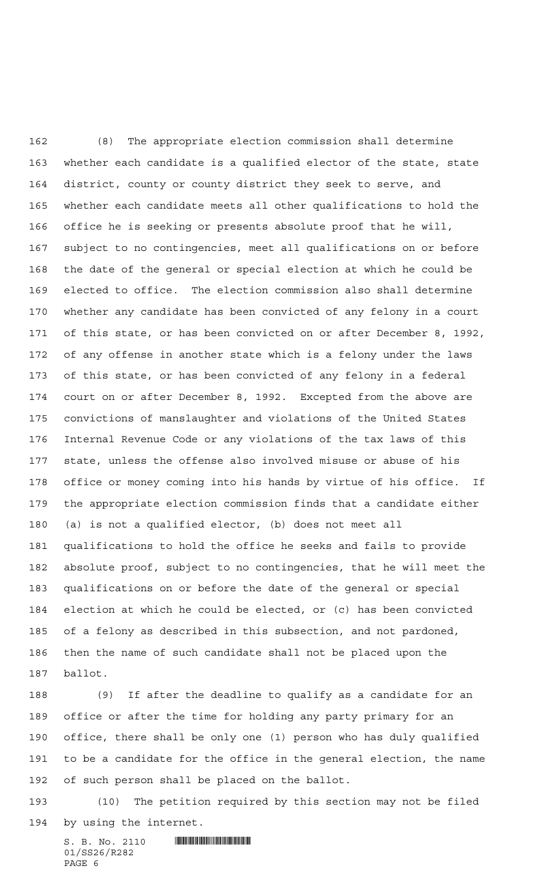(8) The appropriate election commission shall determine whether each candidate is a qualified elector of the state, state district, county or county district they seek to serve, and whether each candidate meets all other qualifications to hold the office he is seeking or presents absolute proof that he will, subject to no contingencies, meet all qualifications on or before the date of the general or special election at which he could be elected to office. The election commission also shall determine whether any candidate has been convicted of any felony in a court of this state, or has been convicted on or after December 8, 1992, of any offense in another state which is a felony under the laws of this state, or has been convicted of any felony in a federal court on or after December 8, 1992. Excepted from the above are convictions of manslaughter and violations of the United States Internal Revenue Code or any violations of the tax laws of this state, unless the offense also involved misuse or abuse of his office or money coming into his hands by virtue of his office. If the appropriate election commission finds that a candidate either (a) is not a qualified elector, (b) does not meet all qualifications to hold the office he seeks and fails to provide absolute proof, subject to no contingencies, that he will meet the qualifications on or before the date of the general or special election at which he could be elected, or (c) has been convicted of a felony as described in this subsection, and not pardoned, then the name of such candidate shall not be placed upon the ballot.

 (9) If after the deadline to qualify as a candidate for an office or after the time for holding any party primary for an office, there shall be only one (1) person who has duly qualified to be a candidate for the office in the general election, the name of such person shall be placed on the ballot.

 (10) The petition required by this section may not be filed by using the internet.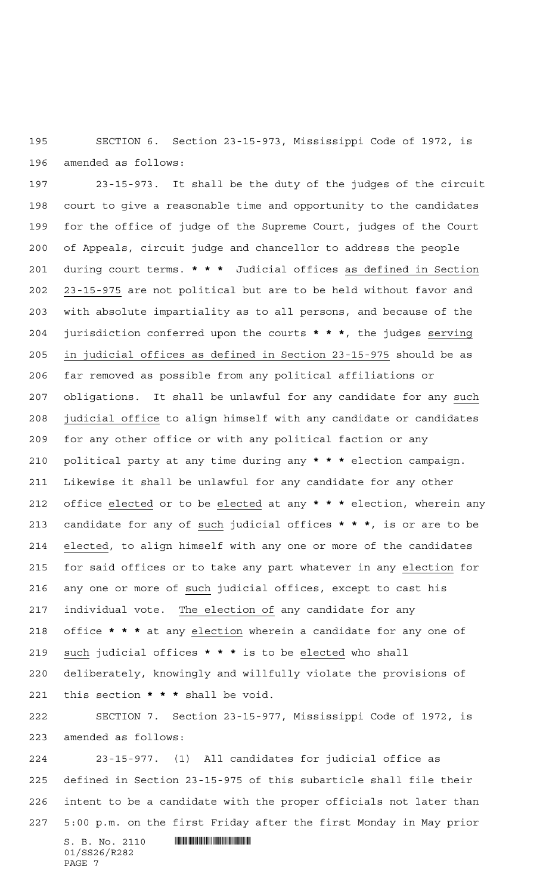SECTION 6. Section 23-15-973, Mississippi Code of 1972, is amended as follows:

 23-15-973. It shall be the duty of the judges of the circuit court to give a reasonable time and opportunity to the candidates for the office of judge of the Supreme Court, judges of the Court of Appeals, circuit judge and chancellor to address the people during court terms. **\*\*\*** Judicial offices as defined in Section 23-15-975 are not political but are to be held without favor and with absolute impartiality as to all persons, and because of the jurisdiction conferred upon the courts **\*\*\***, the judges serving in judicial offices as defined in Section 23-15-975 should be as far removed as possible from any political affiliations or obligations. It shall be unlawful for any candidate for any such judicial office to align himself with any candidate or candidates for any other office or with any political faction or any political party at any time during any **\*\*\*** election campaign. Likewise it shall be unlawful for any candidate for any other office elected or to be elected at any **\*\*\*** election, wherein any candidate for any of such judicial offices **\*\*\***, is or are to be elected, to align himself with any one or more of the candidates for said offices or to take any part whatever in any election for any one or more of such judicial offices, except to cast his individual vote. The election of any candidate for any office **\*\*\*** at any election wherein a candidate for any one of such judicial offices **\*\*\*** is to be elected who shall deliberately, knowingly and willfully violate the provisions of this section **\*\*\*** shall be void. SECTION 7. Section 23-15-977, Mississippi Code of 1972, is amended as follows: 23-15-977. (1) All candidates for judicial office as

 defined in Section 23-15-975 of this subarticle shall file their intent to be a candidate with the proper officials not later than 5:00 p.m. on the first Friday after the first Monday in May prior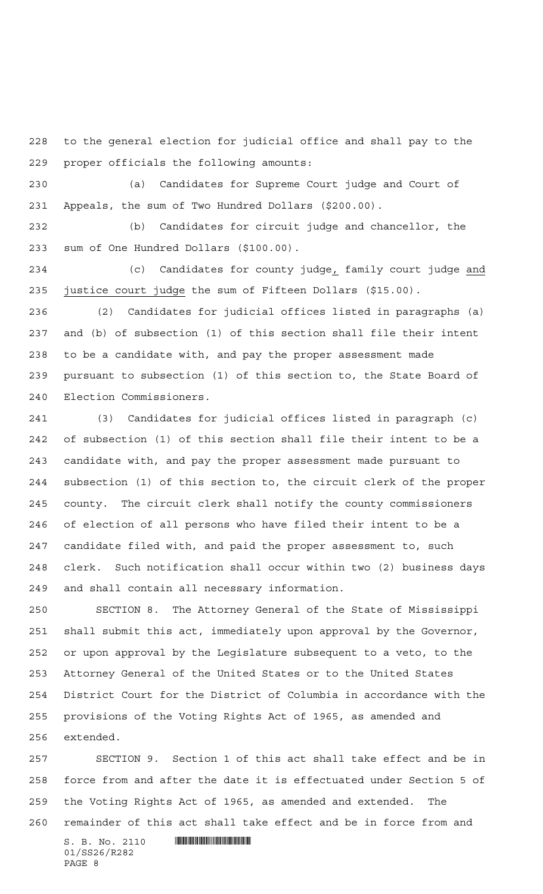to the general election for judicial office and shall pay to the proper officials the following amounts:

 (a) Candidates for Supreme Court judge and Court of Appeals, the sum of Two Hundred Dollars (\$200.00).

 (b) Candidates for circuit judge and chancellor, the sum of One Hundred Dollars (\$100.00).

 (c) Candidates for county judge, family court judge and justice court judge the sum of Fifteen Dollars (\$15.00).

 (2) Candidates for judicial offices listed in paragraphs (a) and (b) of subsection (1) of this section shall file their intent to be a candidate with, and pay the proper assessment made pursuant to subsection (1) of this section to, the State Board of Election Commissioners.

 (3) Candidates for judicial offices listed in paragraph (c) of subsection (1) of this section shall file their intent to be a candidate with, and pay the proper assessment made pursuant to subsection (1) of this section to, the circuit clerk of the proper county. The circuit clerk shall notify the county commissioners of election of all persons who have filed their intent to be a candidate filed with, and paid the proper assessment to, such clerk. Such notification shall occur within two (2) business days and shall contain all necessary information.

 SECTION 8. The Attorney General of the State of Mississippi shall submit this act, immediately upon approval by the Governor, or upon approval by the Legislature subsequent to a veto, to the Attorney General of the United States or to the United States District Court for the District of Columbia in accordance with the provisions of the Voting Rights Act of 1965, as amended and extended.

 SECTION 9. Section 1 of this act shall take effect and be in force from and after the date it is effectuated under Section 5 of the Voting Rights Act of 1965, as amended and extended. The

remainder of this act shall take effect and be in force from and